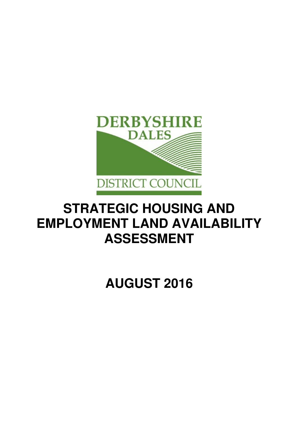

# **STRATEGIC HOUSING AND EMPLOYMENT LAND AVAILABILITY ASSESSMENT**

**AUGUST 2016**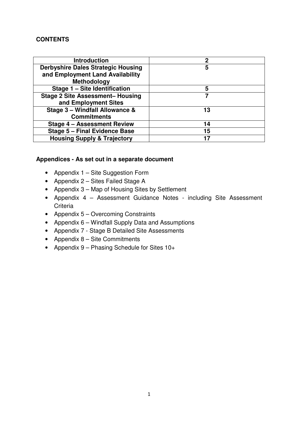# **CONTENTS**

| <b>Introduction</b>                       | 2  |
|-------------------------------------------|----|
| <b>Derbyshire Dales Strategic Housing</b> | 5  |
| and Employment Land Availability          |    |
| Methodology                               |    |
| Stage 1 - Site Identification             | 5  |
| <b>Stage 2 Site Assessment- Housing</b>   |    |
| and Employment Sites                      |    |
| Stage 3 - Windfall Allowance &            | 13 |
| <b>Commitments</b>                        |    |
| <b>Stage 4 - Assessment Review</b>        | 14 |
| <b>Stage 5 - Final Evidence Base</b>      | 15 |
| <b>Housing Supply &amp; Trajectory</b>    | 17 |

# **Appendices - As set out in a separate document**

- Appendix 1 Site Suggestion Form
- Appendix 2 Sites Failed Stage A
- Appendix 3 Map of Housing Sites by Settlement
- Appendix 4 Assessment Guidance Notes including Site Assessment **Criteria**
- Appendix 5 Overcoming Constraints
- Appendix 6 Windfall Supply Data and Assumptions
- Appendix 7 Stage B Detailed Site Assessments
- Appendix 8 Site Commitments
- Appendix 9 Phasing Schedule for Sites 10+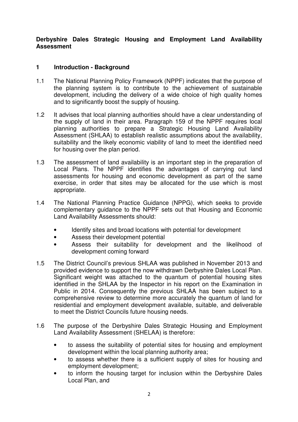# **Derbyshire Dales Strategic Housing and Employment Land Availability Assessment**

# **1 Introduction - Background**

- 1.1 The National Planning Policy Framework (NPPF) indicates that the purpose of the planning system is to contribute to the achievement of sustainable development, including the delivery of a wide choice of high quality homes and to significantly boost the supply of housing.
- 1.2 It advises that local planning authorities should have a clear understanding of the supply of land in their area. Paragraph 159 of the NPPF requires local planning authorities to prepare a Strategic Housing Land Availability Assessment (SHLAA) to establish realistic assumptions about the availability, suitability and the likely economic viability of land to meet the identified need for housing over the plan period.
- 1.3 The assessment of land availability is an important step in the preparation of Local Plans. The NPPF identifies the advantages of carrying out land assessments for housing and economic development as part of the same exercise, in order that sites may be allocated for the use which is most appropriate.
- 1.4 The National Planning Practice Guidance (NPPG), which seeks to provide complementary guidance to the NPPF sets out that Housing and Economic Land Availability Assessments should:
	- Identify sites and broad locations with potential for development
	- Assess their development potential
	- Assess their suitability for development and the likelihood of development coming forward
- 1.5 The District Council's previous SHLAA was published in November 2013 and provided evidence to support the now withdrawn Derbyshire Dales Local Plan. Significant weight was attached to the quantum of potential housing sites identified in the SHLAA by the Inspector in his report on the Examination in Public in 2014. Consequently the previous SHLAA has been subject to a comprehensive review to determine more accurately the quantum of land for residential and employment development available, suitable, and deliverable to meet the District Councils future housing needs.
- 1.6 The purpose of the Derbyshire Dales Strategic Housing and Employment Land Availability Assessment (SHELAA) is therefore:
	- to assess the suitability of potential sites for housing and employment development within the local planning authority area;
	- to assess whether there is a sufficient supply of sites for housing and employment development;
	- to inform the housing target for inclusion within the Derbyshire Dales Local Plan, and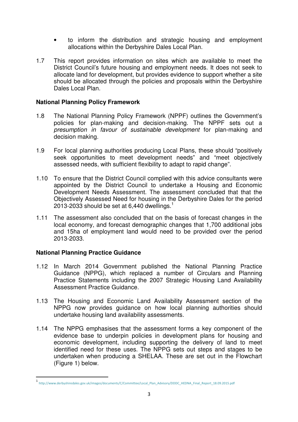- to inform the distribution and strategic housing and employment allocations within the Derbyshire Dales Local Plan.
- 1.7 This report provides information on sites which are available to meet the District Council's future housing and employment needs. It does not seek to allocate land for development, but provides evidence to support whether a site should be allocated through the policies and proposals within the Derbyshire Dales Local Plan.

# **National Planning Policy Framework**

- 1.8 The National Planning Policy Framework (NPPF) outlines the Government's policies for plan-making and decision-making. The NPPF sets out a presumption in favour of sustainable development for plan-making and decision making.
- 1.9 For local planning authorities producing Local Plans, these should "positively seek opportunities to meet development needs" and "meet objectively assessed needs, with sufficient flexibility to adapt to rapid change".
- 1.10 To ensure that the District Council complied with this advice consultants were appointed by the District Council to undertake a Housing and Economic Development Needs Assessment. The assessment concluded that that the Objectively Assessed Need for housing in the Derbyshire Dales for the period 2013-2033 should be set at 6,440 dwellings.<sup>1</sup>
- 1.11 The assessment also concluded that on the basis of forecast changes in the local economy, and forecast demographic changes that 1,700 additional jobs and 15ha of employment land would need to be provided over the period 2013-2033.

# **National Planning Practice Guidance**

 $\overline{a}$ 

- 1.12 In March 2014 Government published the National Planning Practice Guidance (NPPG), which replaced a number of Circulars and Planning Practice Statements including the 2007 Strategic Housing Land Availability Assessment Practice Guidance.
- 1.13 The Housing and Economic Land Availability Assessment section of the NPPG now provides guidance on how local planning authorities should undertake housing land availability assessments.
- 1.14 The NPPG emphasises that the assessment forms a key component of the evidence base to underpin policies in development plans for housing and economic development, including supporting the delivery of land to meet identified need for these uses. The NPPG sets out steps and stages to be undertaken when producing a SHELAA. These are set out in the Flowchart (Figure 1) below.

<sup>1</sup> http://www.derbyshiredales.gov.uk/images/documents/C/Committee/Local\_Plan\_Advisory/DDDC\_HEDNA\_Final\_Report\_18.09.2015.pdf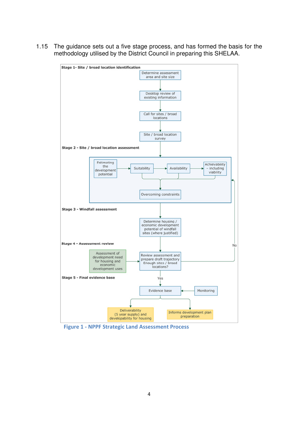1.15 The guidance sets out a five stage process, and has formed the basis for the methodology utilised by the District Council in preparing this SHELAA.



Figure 1 - NPPF Strategic Land Assessment Process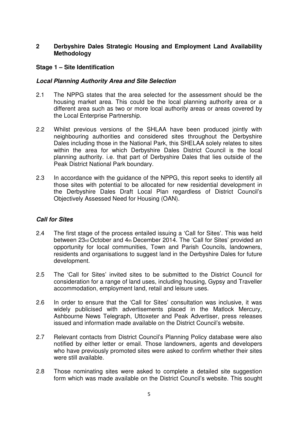# **2 Derbyshire Dales Strategic Housing and Employment Land Availability Methodology**

#### **Stage 1 – Site Identification**

#### **Local Planning Authority Area and Site Selection**

- 2.1 The NPPG states that the area selected for the assessment should be the housing market area. This could be the local planning authority area or a different area such as two or more local authority areas or areas covered by the Local Enterprise Partnership.
- 2.2 Whilst previous versions of the SHLAA have been produced jointly with neighbouring authorities and considered sites throughout the Derbyshire Dales including those in the National Park, this SHELAA solely relates to sites within the area for which Derbyshire Dales District Council is the local planning authority. i.e. that part of Derbyshire Dales that lies outside of the Peak District National Park boundary.
- 2.3 In accordance with the guidance of the NPPG, this report seeks to identify all those sites with potential to be allocated for new residential development in the Derbyshire Dales Draft Local Plan regardless of District Council's Objectively Assessed Need for Housing (OAN).

# **Call for Sites**

- 2.4 The first stage of the process entailed issuing a 'Call for Sites'. This was held between 23rd October and 4th December 2014. The 'Call for Sites' provided an opportunity for local communities, Town and Parish Councils, landowners, residents and organisations to suggest land in the Derbyshire Dales for future development.
- 2.5 The 'Call for Sites' invited sites to be submitted to the District Council for consideration for a range of land uses, including housing, Gypsy and Traveller accommodation, employment land, retail and leisure uses.
- 2.6 In order to ensure that the 'Call for Sites' consultation was inclusive, it was widely publicised with advertisements placed in the Matlock Mercury, Ashbourne News Telegraph, Uttoxeter and Peak Advertiser, press releases issued and information made available on the District Council's website.
- 2.7 Relevant contacts from District Council's Planning Policy database were also notified by either letter or email. Those landowners, agents and developers who have previously promoted sites were asked to confirm whether their sites were still available.
- 2.8 Those nominating sites were asked to complete a detailed site suggestion form which was made available on the District Council's website. This sought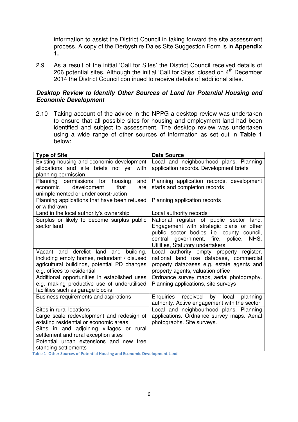information to assist the District Council in taking forward the site assessment process. A copy of the Derbyshire Dales Site Suggestion Form is in **Appendix 1.**

2.9 As a result of the initial 'Call for Sites' the District Council received details of 206 potential sites. Although the initial 'Call for Sites' closed on 4<sup>th</sup> December 2014 the District Council continued to receive details of additional sites.

#### **Desktop Review to Identify Other Sources of Land for Potential Housing and Economic Development**

2.10 Taking account of the advice in the NPPG a desktop review was undertaken to ensure that all possible sites for housing and employment land had been identified and subject to assessment. The desktop review was undertaken using a wide range of other sources of information as set out in **Table 1** below:

| <b>Type of Site</b>                          | <b>Data Source</b>                               |  |  |
|----------------------------------------------|--------------------------------------------------|--|--|
| Existing housing and economic development    | Local and neighbourhood plans. Planning          |  |  |
| allocations and site briefs not yet with     | application records. Development briefs          |  |  |
| planning permission                          |                                                  |  |  |
| Planning permissions for housing<br>and      | Planning application records, development        |  |  |
| development<br>that<br>economic<br>are       | starts and completion records                    |  |  |
| unimplemented or under construction          |                                                  |  |  |
| Planning applications that have been refused | Planning application records                     |  |  |
| or withdrawn                                 |                                                  |  |  |
| Land in the local authority's ownership      | Local authority records                          |  |  |
| Surplus or likely to become surplus public   | National register of public sector land.         |  |  |
| sector land                                  | Engagement with strategic plans or other         |  |  |
|                                              | public sector bodies i.e. county council,        |  |  |
|                                              | central government, fire, police, NHS,           |  |  |
|                                              | Utilities, Statutory undertakers                 |  |  |
| Vacant and derelict land and building,       | Local authority empty property register,         |  |  |
| including empty homes, redundant / disused   | national land use database, commercial           |  |  |
| agricultural buildings, potential PD changes | property databases e.g. estate agents and        |  |  |
| e.g. offices to residential                  | property agents, valuation office                |  |  |
| Additional opportunities in established uses | Ordnance survey maps, aerial photography.        |  |  |
| e.g. making productive use of underutilised  | Planning applications, site surveys              |  |  |
| facilities such as garage blocks             |                                                  |  |  |
| Business requirements and aspirations        | Enquiries<br>received<br>by<br>local<br>planning |  |  |
|                                              | authority. Active engagement with the sector     |  |  |
| Sites in rural locations                     | Local and neighbourhood plans. Planning          |  |  |
| Large scale redevelopment and redesign of    | applications. Ordnance survey maps. Aerial       |  |  |
| existing residential or economic areas       | photographs. Site surveys.                       |  |  |
| Sites in and adjoining villages or rural     |                                                  |  |  |
| settlement and rural exception sites         |                                                  |  |  |
| Potential urban extensions and new free      |                                                  |  |  |
| standing settlements                         |                                                  |  |  |

Table 1- Other Sources of Potential Housing and Economic Development Land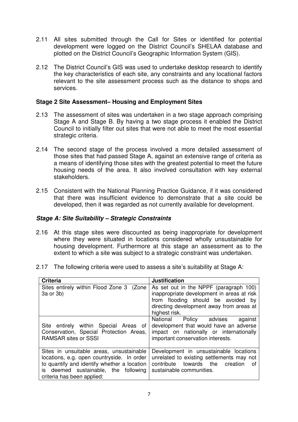- 2.11 All sites submitted through the Call for Sites or identified for potential development were logged on the District Council's SHELAA database and plotted on the District Council's Geographic Information System (GIS).
- 2.12 The District Council's GIS was used to undertake desktop research to identify the key characteristics of each site, any constraints and any locational factors relevant to the site assessment process such as the distance to shops and services.

# **Stage 2 Site Assessment– Housing and Employment Sites**

- 2.13 The assessment of sites was undertaken in a two stage approach comprising Stage A and Stage B. By having a two stage process it enabled the District Council to initially filter out sites that were not able to meet the most essential strategic criteria.
- 2.14 The second stage of the process involved a more detailed assessment of those sites that had passed Stage A, against an extensive range of criteria as a means of identifying those sites with the greatest potential to meet the future housing needs of the area. It also involved consultation with key external stakeholders.
- 2.15 Consistent with the National Planning Practice Guidance, if it was considered that there was insufficient evidence to demonstrate that a site could be developed, then it was regarded as not currently available for development.

# **Stage A: Site Suitability – Strategic Constraints**

- 2.16 At this stage sites were discounted as being inappropriate for development where they were situated in locations considered wholly unsustainable for housing development. Furthermore at this stage an assessment as to the extent to which a site was subject to a strategic constraint was undertaken.
- 2.17 The following criteria were used to assess a site's suitability at Stage A:

| <b>Criteria</b>                                                                                                                                                                                             | <b>Justification</b>                                                                                                                                                                    |
|-------------------------------------------------------------------------------------------------------------------------------------------------------------------------------------------------------------|-----------------------------------------------------------------------------------------------------------------------------------------------------------------------------------------|
| Sites entirely within Flood Zone 3 (Zone<br>3a or 3b)                                                                                                                                                       | As set out in the NPPF (paragraph 100)<br>inappropriate development in areas at risk<br>from flooding should be avoided by<br>directing development away from areas at<br>highest risk. |
| Site entirely within Special Areas of<br>Conservation, Special Protection Areas,<br><b>RAMSAR sites or SSSI</b>                                                                                             | National Policy advises<br>against<br>development that would have an adverse<br>impact on nationally or internationally<br>important conservation interests.                            |
| Sites in unsuitable areas, unsustainable<br>locations, e.g. open countryside. In order<br>to quantify and identify whether a location<br>is deemed sustainable, the following<br>criteria has been applied: | Development in unsustainable locations<br>unrelated to existing settlements may not<br>towards the creation<br>contribute<br>0t<br>sustainable communities.                             |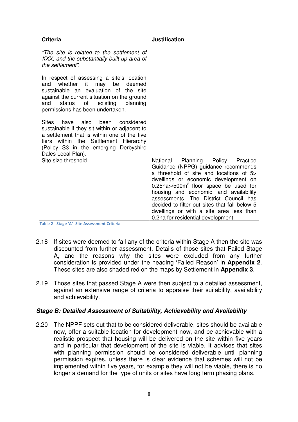| <b>Criteria</b>                                                                                                                                                                                                                                         | <b>Justification</b>                                                                                                                                                                                                                                                                                                                                                                                                                         |
|---------------------------------------------------------------------------------------------------------------------------------------------------------------------------------------------------------------------------------------------------------|----------------------------------------------------------------------------------------------------------------------------------------------------------------------------------------------------------------------------------------------------------------------------------------------------------------------------------------------------------------------------------------------------------------------------------------------|
| "The site is related to the settlement of<br>XXX, and the substantially built up area of<br>the settlement".                                                                                                                                            |                                                                                                                                                                                                                                                                                                                                                                                                                                              |
| In respect of assessing a site's location<br>whether it may be deemed<br>and<br>sustainable an evaluation of the site<br>against the current situation on the ground<br>existing<br>planning<br>and<br>status<br>of<br>permissions has been undertaken. |                                                                                                                                                                                                                                                                                                                                                                                                                                              |
| Sites<br>have also been<br>considered<br>sustainable if they sit within or adjacent to<br>a settlement that is within one of the five<br>tiers within the Settlement Hierarchy<br>(Policy S3 in the emerging Derbyshire<br>Dales Local Plan).           |                                                                                                                                                                                                                                                                                                                                                                                                                                              |
| Site size threshold                                                                                                                                                                                                                                     | Planning<br>National<br>Policy<br>Practice<br>Guidance (NPPG) guidance recommends<br>a threshold of site and locations of 5><br>dwellings or economic development on<br>$0.25$ ha $>$ /500 $m2$ floor space be used for<br>housing and economic land availability<br>assessments. The District Council has<br>decided to filter out sites that fall below 5<br>dwellings or with a site area less than<br>0.2ha for residential development. |

Table 2 - Stage 'A'- Site Assessment Criteria

- 2.18 If sites were deemed to fail any of the criteria within Stage A then the site was discounted from further assessment. Details of those sites that Failed Stage A, and the reasons why the sites were excluded from any further consideration is provided under the heading 'Failed Reason' in **Appendix 2**. These sites are also shaded red on the maps by Settlement in **Appendix 3**.
- 2.19 Those sites that passed Stage A were then subject to a detailed assessment. against an extensive range of criteria to appraise their suitability, availability and achievability.

# **Stage B: Detailed Assessment of Suitability, Achievability and Availability**

2.20 The NPPF sets out that to be considered deliverable, sites should be available now, offer a suitable location for development now, and be achievable with a realistic prospect that housing will be delivered on the site within five years and in particular that development of the site is viable. It advises that sites with planning permission should be considered deliverable until planning permission expires, unless there is clear evidence that schemes will not be implemented within five years, for example they will not be viable, there is no longer a demand for the type of units or sites have long term phasing plans.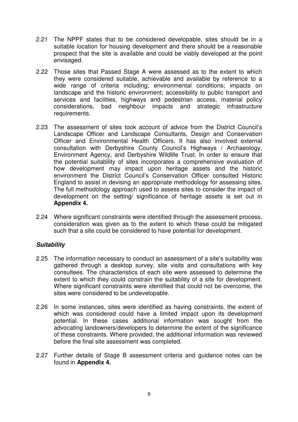- 2.21 The NPPF states that to be considered developable, sites should be in a suitable location for housing development and there should be a reasonable prospect that the site is available and could be viably developed at the point envisaged.
- 2.22 Those sites that Passed Stage A were assessed as to the extent to which they were considered suitable, achievable and available by reference to a wide range of criteria including; environmental conditions; impacts on landscape and the historic environment; accessibility to public transport and services and facilities, highways and pedestrian access, material policy considerations, bad neighbour impacts and strategic infrastructure requirements.
- 2.23 The assessment of sites took account of advice from the District Council's Landscape Officer and Landscape Consultants, Design and Conservation Officer and Environmental Health Officers. It has also involved external consultation with Derbyshire County Council's Highways / Archaeology, Environment Agency, and Derbyshire Wildlife Trust. In order to ensure that the potential suitability of sites incorporates a comprehensive evaluation of how development may impact upon heritage assets and the historic environment the District Council's Conservation Officer consulted Historic England to assist in devising an appropriate methodology for assessing sites. The full methodology approach used to assess sites to consider the impact of development on the setting/ significance of heritage assets is set out in **Appendix 4.**
- 2.24 Where significant constraints were identified through the assessment process, consideration was given as to the extent to which these could be mitigated such that a site could be considered to have potential for development.

# **Suitability**

- 2.25 The information necessary to conduct an assessment of a site's suitability was gathered through a desktop survey, site visits and consultations with key consultees. The characteristics of each site were assessed to determine the extent to which they could constrain the suitability of a site for development. Where significant constraints were identified that could not be overcome, the sites were considered to be undevelopable.
- 2.26 In some instances, sites were identified as having constraints, the extent of which was considered could have a limited impact upon its development potential. In these cases additional information was sought from the advocating landowners/developers to determine the extent of the significance of these constraints. Where provided, the additional information was reviewed before the final site assessment was completed.
- 2.27 Further details of Stage B assessment criteria and guidance notes can be found in **Appendix 4.**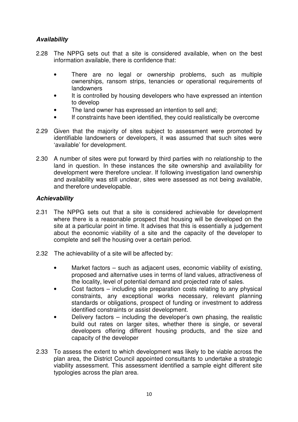# **Availability**

- 2.28 The NPPG sets out that a site is considered available, when on the best information available, there is confidence that:
	- There are no legal or ownership problems, such as multiple ownerships, ransom strips, tenancies or operational requirements of landowners
	- It is controlled by housing developers who have expressed an intention to develop
	- The land owner has expressed an intention to sell and;
	- If constraints have been identified, they could realistically be overcome
- 2.29 Given that the majority of sites subject to assessment were promoted by identifiable landowners or developers, it was assumed that such sites were 'available' for development.
- 2.30 A number of sites were put forward by third parties with no relationship to the land in question. In these instances the site ownership and availability for development were therefore unclear. If following investigation land ownership and availability was still unclear, sites were assessed as not being available, and therefore undevelopable.

# **Achievability**

- 2.31 The NPPG sets out that a site is considered achievable for development where there is a reasonable prospect that housing will be developed on the site at a particular point in time. It advises that this is essentially a judgement about the economic viability of a site and the capacity of the developer to complete and sell the housing over a certain period.
- 2.32 The achievability of a site will be affected by:
	- Market factors such as adiacent uses, economic viability of existing. proposed and alternative uses in terms of land values, attractiveness of the locality, level of potential demand and projected rate of sales.
	- Cost factors including site preparation costs relating to any physical constraints, any exceptional works necessary, relevant planning standards or obligations, prospect of funding or investment to address identified constraints or assist development.
	- Delivery factors including the developer's own phasing, the realistic build out rates on larger sites, whether there is single, or several developers offering different housing products, and the size and capacity of the developer
- 2.33 To assess the extent to which development was likely to be viable across the plan area, the District Council appointed consultants to undertake a strategic viability assessment. This assessment identified a sample eight different site typologies across the plan area.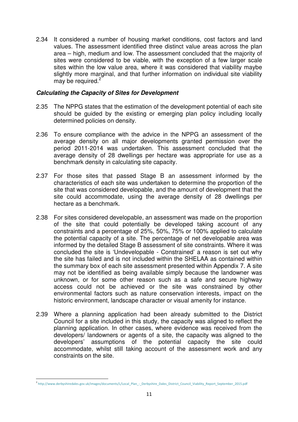2.34 It considered a number of housing market conditions, cost factors and land values. The assessment identified three distinct value areas across the plan area – high, medium and low. The assessment concluded that the majority of sites were considered to be viable, with the exception of a few larger scale sites within the low value area, where it was considered that viability maybe slightly more marginal, and that further information on individual site viability may be required.<sup>2</sup>

#### **Calculating the Capacity of Sites for Development**

- 2.35 The NPPG states that the estimation of the development potential of each site should be guided by the existing or emerging plan policy including locally determined policies on density.
- 2.36 To ensure compliance with the advice in the NPPG an assessment of the average density on all major developments granted permission over the period 2011-2014 was undertaken. This assessment concluded that the average density of 28 dwellings per hectare was appropriate for use as a benchmark density in calculating site capacity.
- 2.37 For those sites that passed Stage B an assessment informed by the characteristics of each site was undertaken to determine the proportion of the site that was considered developable, and the amount of development that the site could accommodate, using the average density of 28 dwellings per hectare as a benchmark.
- 2.38 For sites considered developable, an assessment was made on the proportion of the site that could potentially be developed taking account of any constraints and a percentage of 25%, 50%, 75% or 100% applied to calculate the potential capacity of a site. The percentage of net developable area was informed by the detailed Stage B assessment of site constraints. Where it was concluded the site is 'Undevelopable - Constrained' a reason is set out why the site has failed and is not included within the SHELAA as contained within the summary box of each site assessment presented within Appendix 7. A site may not be identified as being available simply because the landowner was unknown, or for some other reason such as a safe and secure highway access could not be achieved or the site was constrained by other environmental factors such as nature conservation interests, impact on the historic environment, landscape character or visual amenity for instance.
- 2.39 Where a planning application had been already submitted to the District Council for a site included in this study, the capacity was aligned to reflect the planning application. In other cases, where evidence was received from the developers/ landowners or agents of a site, the capacity was aligned to the developers' assumptions of the potential capacity the site could accommodate, whilst still taking account of the assessment work and any constraints on the site.

 $\overline{a}$ 

<sup>2</sup> http://www.derbyshiredales.gov.uk/images/documents/L/Local\_Plan\_-\_Derbyshire\_Dales\_District\_Council\_Viability\_Report\_September\_2015.pdf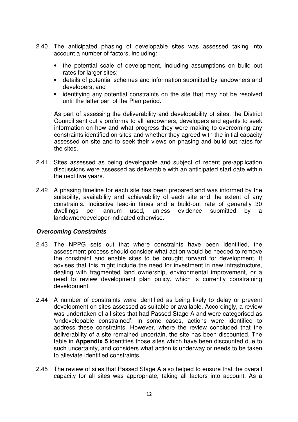- 2.40 The anticipated phasing of developable sites was assessed taking into account a number of factors, including:
	- the potential scale of development, including assumptions on build out rates for larger sites;
	- details of potential schemes and information submitted by landowners and developers; and
	- identifying any potential constraints on the site that may not be resolved until the latter part of the Plan period.

As part of assessing the deliverability and developability of sites, the District Council sent out a proforma to all landowners, developers and agents to seek information on how and what progress they were making to overcoming any constraints identified on sites and whether they agreed with the initial capacity assessed on site and to seek their views on phasing and build out rates for the sites.

- 2.41 Sites assessed as being developable and subject of recent pre-application discussions were assessed as deliverable with an anticipated start date within the next five years.
- 2.42 A phasing timeline for each site has been prepared and was informed by the suitability, availability and achievability of each site and the extent of any constraints. Indicative lead-in times and a build-out rate of generally 30 dwellings per annum used, unless evidence submitted by a landowner/developer indicated otherwise.

#### **Overcoming Constraints**

- 2.43 The NPPG sets out that where constraints have been identified, the assessment process should consider what action would be needed to remove the constraint and enable sites to be brought forward for development. It advises that this might include the need for investment in new infrastructure, dealing with fragmented land ownership, environmental improvement, or a need to review development plan policy, which is currently constraining development.
- 2.44 A number of constraints were identified as being likely to delay or prevent development on sites assessed as suitable or available. Accordingly, a review was undertaken of all sites that had Passed Stage A and were categorised as 'undevelopable constrained'. In some cases, actions were identified to address these constraints. However, where the review concluded that the deliverability of a site remained uncertain, the site has been discounted. The table in **Appendix 5** identifies those sites which have been discounted due to such uncertainty, and considers what action is underway or needs to be taken to alleviate identified constraints.
- 2.45 The review of sites that Passed Stage A also helped to ensure that the overall capacity for all sites was appropriate, taking all factors into account. As a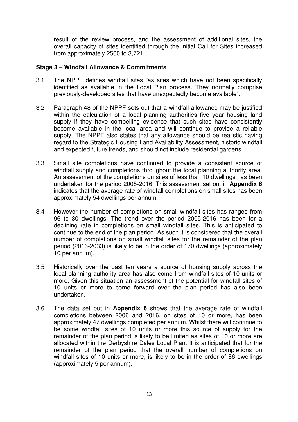result of the review process, and the assessment of additional sites, the overall capacity of sites identified through the initial Call for Sites increased from approximately 2500 to 3,721.

#### **Stage 3 – Windfall Allowance & Commitments**

- 3.1 The NPPF defines windfall sites "as sites which have not been specifically identified as available in the Local Plan process. They normally comprise previously-developed sites that have unexpectedly become available".
- 3.2 Paragraph 48 of the NPPF sets out that a windfall allowance may be justified within the calculation of a local planning authorities five year housing land supply if they have compelling evidence that such sites have consistently become available in the local area and will continue to provide a reliable supply. The NPPF also states that any allowance should be realistic having regard to the Strategic Housing Land Availability Assessment, historic windfall and expected future trends, and should not include residential gardens.
- 3.3 Small site completions have continued to provide a consistent source of windfall supply and completions throughout the local planning authority area. An assessment of the completions on sites of less than 10 dwellings has been undertaken for the period 2005-2016. This assessment set out in **Appendix 6** indicates that the average rate of windfall completions on small sites has been approximately 54 dwellings per annum.
- 3.4 However the number of completions on small windfall sites has ranged from 96 to 30 dwellings. The trend over the period 2005-2016 has been for a declining rate in completions on small windfall sites. This is anticipated to continue to the end of the plan period. As such it is considered that the overall number of completions on small windfall sites for the remainder of the plan period (2016-2033) is likely to be in the order of 170 dwellings (approximately 10 per annum).
- 3.5 Historically over the past ten years a source of housing supply across the local planning authority area has also come from windfall sites of 10 units or more. Given this situation an assessment of the potential for windfall sites of 10 units or more to come forward over the plan period has also been undertaken.
- 3.6 The data set out in **Appendix 6** shows that the average rate of windfall completions between 2006 and 2016, on sites of 10 or more, has been approximately 47 dwellings completed per annum. Whilst there will continue to be some windfall sites of 10 units or more this source of supply for the remainder of the plan period is likely to be limited as sites of 10 or more are allocated within the Derbyshire Dales Local Plan. It is anticipated that for the remainder of the plan period that the overall number of completions on windfall sites of 10 units or more, is likely to be in the order of 86 dwellings (approximately 5 per annum).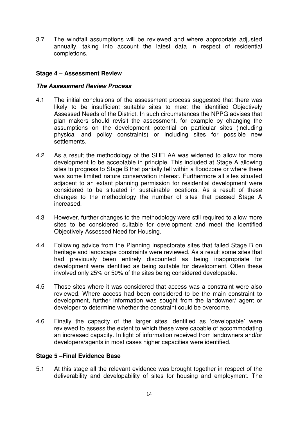3.7 The windfall assumptions will be reviewed and where appropriate adjusted annually, taking into account the latest data in respect of residential completions.

# **Stage 4 – Assessment Review**

### **The Assessment Review Process**

- 4.1 The initial conclusions of the assessment process suggested that there was likely to be insufficient suitable sites to meet the identified Objectively Assessed Needs of the District. In such circumstances the NPPG advises that plan makers should revisit the assessment, for example by changing the assumptions on the development potential on particular sites (including physical and policy constraints) or including sites for possible new settlements.
- 4.2 As a result the methodology of the SHELAA was widened to allow for more development to be acceptable in principle. This included at Stage A allowing sites to progress to Stage B that partially fell within a floodzone or where there was some limited nature conservation interest. Furthermore all sites situated adjacent to an extant planning permission for residential development were considered to be situated in sustainable locations. As a result of these changes to the methodology the number of sites that passed Stage A increased.
- 4.3 However, further changes to the methodology were still required to allow more sites to be considered suitable for development and meet the identified Objectively Assessed Need for Housing.
- 4.4 Following advice from the Planning Inspectorate sites that failed Stage B on heritage and landscape constraints were reviewed. As a result some sites that had previously been entirely discounted as being inappropriate for development were identified as being suitable for development. Often these involved only 25% or 50% of the sites being considered developable.
- 4.5 Those sites where it was considered that access was a constraint were also reviewed. Where access had been considered to be the main constraint to development, further information was sought from the landowner/ agent or developer to determine whether the constraint could be overcome.
- 4.6 Finally the capacity of the larger sites identified as 'developable' were reviewed to assess the extent to which these were capable of accommodating an increased capacity. In light of information received from landowners and/or developers/agents in most cases higher capacities were identified.

#### **Stage 5 –Final Evidence Base**

5.1 At this stage all the relevant evidence was brought together in respect of the deliverability and developability of sites for housing and employment. The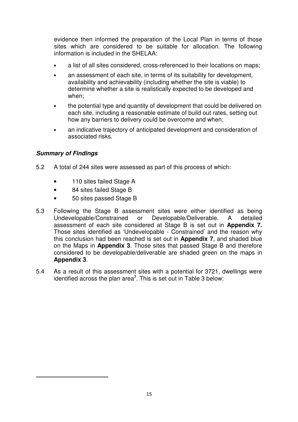evidence then informed the preparation of the Local Plan in terms of those sites which are considered to be suitable for allocation. The following information is included in the SHELAA:

- a list of all sites considered, cross-referenced to their locations on maps;
- an assessment of each site, in terms of its suitability for development, availability and achievability (including whether the site is viable) to determine whether a site is realistically expected to be developed and when;
- the potential type and quantity of development that could be delivered on each site, including a reasonable estimate of build out rates, setting out how any barriers to delivery could be overcome and when;
- an indicative trajectory of anticipated development and consideration of associated risks.

# **Summary of Findings**

 $\overline{a}$ 

- 5.2 A total of 244 sites were assessed as part of this process of which:
	- 110 sites failed Stage A
	- 84 sites failed Stage B
	- 50 sites passed Stage B
- 5.3 Following the Stage B assessment sites were either identified as being Undevelopable/Constrained or Developable/Deliverable. A detailed assessment of each site considered at Stage B is set out in **Appendix 7.** Those sites identified as 'Undevelopable - Constrained' and the reason why this conclusion had been reached is set out in **Appendix 7**, and shaded blue on the Maps in **Appendix 3**. Those sites that passed Stage B and therefore considered to be developable/deliverable are shaded green on the maps in **Appendix 3**.
- 5.4 As a result of this assessment sites with a potential for 3721, dwellings were identified across the plan area<sup>3</sup>. This is set out in Table 3 below: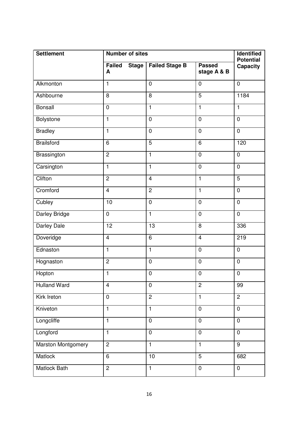| <b>Settlement</b><br><b>Number of sites</b> |                             |                       |                              |                              |
|---------------------------------------------|-----------------------------|-----------------------|------------------------------|------------------------------|
|                                             | Failed<br><b>Stage</b><br>A | <b>Failed Stage B</b> | <b>Passed</b><br>stage A & B | <b>Potential</b><br>Capacity |
| Alkmonton                                   | $\overline{1}$              | $\overline{0}$        | $\pmb{0}$                    | $\overline{0}$               |
| Ashbourne                                   | 8                           | 8                     | $\overline{5}$               | 1184                         |
| <b>Bonsall</b>                              | $\mathbf 0$                 | $\overline{1}$        | $\overline{1}$               | $\mathbf{1}$                 |
| Bolystone                                   | $\overline{1}$              | $\overline{0}$        | $\overline{0}$               | $\mathbf 0$                  |
| <b>Bradley</b>                              | $\mathbf{1}$                | $\mathbf 0$           | $\mathbf 0$                  | $\mathbf 0$                  |
| <b>Brailsford</b>                           | 6                           | $\overline{5}$        | 6                            | 120                          |
| Brassington                                 | $\overline{2}$              | $\mathbf{1}$          | $\mathbf 0$                  | $\mathbf 0$                  |
| Carsington                                  | $\mathbf{1}$                | $\mathbf{1}$          | $\mathbf 0$                  | $\mathbf 0$                  |
| Clifton                                     | $\overline{2}$              | $\overline{4}$        | $\overline{1}$               | $\overline{5}$               |
| Cromford                                    | $\overline{4}$              | $\overline{2}$        | $\mathbf{1}$                 | $\mathbf 0$                  |
| Cubley                                      | 10                          | $\mathbf 0$           | $\mathbf 0$                  | $\mathbf 0$                  |
| <b>Darley Bridge</b>                        | $\overline{0}$              | $\overline{1}$        | $\overline{0}$               | $\mathbf 0$                  |
| Darley Dale                                 | 12                          | 13                    | 8                            | 336                          |
| Doveridge                                   | $\overline{4}$              | $\overline{6}$        | $\overline{4}$               | 219                          |
| Ednaston                                    | $\overline{1}$              | $\overline{1}$        | $\mathbf 0$                  | $\mathbf 0$                  |
| Hognaston                                   | $\overline{2}$              | $\mathbf 0$           | $\mathbf 0$                  | $\mathbf 0$                  |
| Hopton                                      | $\overline{1}$              | $\pmb{0}$             | $\mathbf 0$                  | $\pmb{0}$                    |
| <b>Hulland Ward</b>                         | $\overline{\mathbf{4}}$     | $\mathbf 0$           | $\overline{2}$               | 99                           |
| Kirk Ireton                                 | $\mathbf 0$                 | $\overline{2}$        | $\overline{1}$               | $\overline{2}$               |
| Kniveton                                    | $\mathbf{1}$                | $\mathbf{1}$          | $\mathbf 0$                  | $\mathbf 0$                  |
| Longcliffe                                  | $\mathbf{1}$                | $\mathbf 0$           | $\mathbf 0$                  | $\mathbf 0$                  |
| Longford                                    | $\mathbf{1}$                | $\pmb{0}$             | $\pmb{0}$                    | $\mathbf 0$                  |
| Marston Montgomery                          | $\overline{2}$              | $\mathbf{1}$          | $\mathbf{1}$                 | $\overline{9}$               |
| Matlock                                     | 6                           | 10                    | $\overline{5}$               | 682                          |
| Matlock Bath                                | $\overline{c}$              | $\mathbf{1}$          | $\pmb{0}$                    | $\pmb{0}$                    |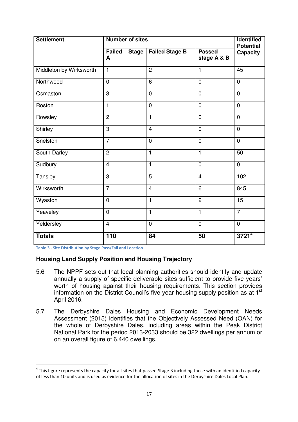| <b>Settlement</b><br><b>Number of sites</b> |                                    |                                |                              |                                     |
|---------------------------------------------|------------------------------------|--------------------------------|------------------------------|-------------------------------------|
|                                             | <b>Failed</b><br><b>Stage</b><br>A | <b>Failed Stage B</b>          | <b>Passed</b><br>stage A & B | <b>Potential</b><br><b>Capacity</b> |
| Middleton by Wirksworth                     | $\overline{1}$                     | $\overline{2}$                 | $\mathbf{1}$                 | 45                                  |
| Northwood                                   | $\overline{0}$                     | $\overline{6}$                 | $\overline{0}$               | $\overline{0}$                      |
| Osmaston                                    | $\overline{3}$                     | $\mathbf 0$                    | $\overline{0}$               | $\mathbf 0$                         |
| Roston                                      | $\mathbf{1}$                       | $\overline{0}$                 | $\overline{0}$               | $\overline{0}$                      |
| Rowsley                                     | $\overline{2}$                     | $\mathbf{1}$                   | $\overline{0}$               | $\overline{0}$                      |
| Shirley                                     | $\overline{3}$                     | $\overline{4}$                 | $\mathbf 0$                  | $\mathbf 0$                         |
| Snelston                                    | $\overline{7}$                     | $\mathbf 0$                    | $\overline{0}$               | $\mathbf 0$                         |
| South Darley                                | $\overline{2}$                     | $\mathbf{1}$                   | $\mathbf{1}$                 | $\overline{50}$                     |
| Sudbury                                     | $\overline{4}$                     | $\mathbf{1}$<br>$\overline{0}$ |                              | $\overline{0}$                      |
| Tansley                                     | 3<br>5                             |                                | $\overline{4}$               | 102                                 |
| Wirksworth                                  | $\overline{7}$                     | $\overline{4}$                 | 6                            | 845                                 |
| Wyaston                                     | $\overline{0}$                     | $\mathbf{1}$                   | $\overline{2}$               | $\overline{15}$                     |
| Yeaveley                                    | $\mathbf 0$                        | $\mathbf{1}$                   | $\mathbf{1}$                 | $\overline{7}$                      |
| Yeldersley                                  | $\overline{4}$                     | $\mathbf 0$                    | $\overline{0}$               | $\mathbf 0$                         |
| <b>Totals</b>                               | 110                                | 84                             | 50                           | $3721^{4}$                          |

Table 3 - Site Distribution by Stage Pass/Fail and Location

 $\overline{a}$ 

#### **Housing Land Supply Position and Housing Trajectory**

- 5.6 The NPPF sets out that local planning authorities should identify and update annually a supply of specific deliverable sites sufficient to provide five years' worth of housing against their housing requirements. This section provides information on the District Council's five year housing supply position as at 1<sup>st</sup> April 2016.
- 5.7 The Derbyshire Dales Housing and Economic Development Needs Assessment (2015) identifies that the Objectively Assessed Need (OAN) for the whole of Derbyshire Dales, including areas within the Peak District National Park for the period 2013-2033 should be 322 dwellings per annum or on an overall figure of 6,440 dwellings.

<sup>&</sup>lt;sup>4</sup> This figure represents the capacity for all sites that passed Stage B including those with an identified capacity of less than 10 units and is used as evidence for the allocation of sites in the Derbyshire Dales Local Plan.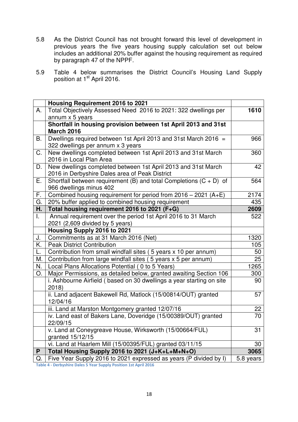- 5.8 As the District Council has not brought forward this level of development in previous years the five years housing supply calculation set out below includes an additional 20% buffer against the housing requirement as required by paragraph 47 of the NPPF.
- 5.9 Table 4 below summarises the District Council's Housing Land Supply position at 1<sup>st</sup> April 2016.

|              | Housing Requirement 2016 to 2021                                     |                 |  |
|--------------|----------------------------------------------------------------------|-----------------|--|
| A.           | Total Objectively Assessed Need 2016 to 2021: 322 dwellings per      |                 |  |
|              | annum x 5 years                                                      |                 |  |
|              | Shortfall in housing provision between 1st April 2013 and 31st       |                 |  |
|              | <b>March 2016</b>                                                    |                 |  |
| В.           | Dwellings required between 1st April 2013 and 31st March 2016 =      | 966             |  |
|              | 322 dwellings per annum x 3 years                                    |                 |  |
| C.           | New dwellings completed between 1st April 2013 and 31st March        | 360             |  |
|              | 2016 in Local Plan Area                                              |                 |  |
| D.           | New dwellings completed between 1st April 2013 and 31st March        | 42              |  |
|              | 2016 in Derbyshire Dales area of Peak District                       |                 |  |
| Е.           | Shortfall between requirement (B) and total Completions $(C + D)$ of | 564             |  |
|              | 966 dwellings minus 402                                              |                 |  |
| F.           | Combined housing requirement for period from $2016 - 2021$ (A+E)     | 2174            |  |
| G.           | 20% buffer applied to combined housing requirement                   | 435             |  |
| Η.           | Total housing requirement 2016 to 2021 (F+G)                         | 2609            |  |
| $\mathbf{L}$ | Annual requirement over the period 1st April 2016 to 31 March        | 522             |  |
|              | 2021 (2,609 divided by 5 years)                                      |                 |  |
|              | Housing Supply 2016 to 2021                                          |                 |  |
| J.           | Commitments as at 31 March 2016 (Net)                                | 1320            |  |
| K.           | <b>Peak District Contribution</b>                                    | 105             |  |
| L.           | Contribution from small windfall sites (5 years x 10 per annum)      | 50              |  |
| Μ.           | Contribution from large windfall sites (5 years x 5 per annum)       | 25              |  |
| N.           | Local Plans Allocations Potential (0 to 5 Years)                     | 1265            |  |
| О.           | Major Permissions, as detailed below, granted awaiting Section 106   | 300             |  |
|              | i. Ashbourne Airfield (based on 30 dwellings a year starting on site | 90              |  |
|              | 2018                                                                 |                 |  |
|              | ii. Land adjacent Bakewell Rd, Matlock (15/00814/OUT) granted        | 57              |  |
|              | 12/04/16                                                             |                 |  |
|              | iii. Land at Marston Montgomery granted 12/07/16                     | 22              |  |
|              | iv. Land east of Bakers Lane, Doveridge (15/00389/OUT) granted       | $\overline{70}$ |  |
|              | 22/09/15                                                             |                 |  |
|              | v. Land at Coneygreave House, Wirksworth (15/00664/FUL)              | 31              |  |
|              | granted 15/12/15                                                     |                 |  |
|              | vi. Land at Haarlem Mill (15/00395/FUL) granted 03/11/15             | 30              |  |
| P            | Total Housing Supply 2016 to 2021 (J+K+L+M+N+O)                      | 3065            |  |
| Q.           | Five Year Supply 2016 to 2021 expressed as years (P divided by I)    | 5.8 years       |  |

Table 4 - Derbyshire Dales 5 Year Supply Position 1st April 2016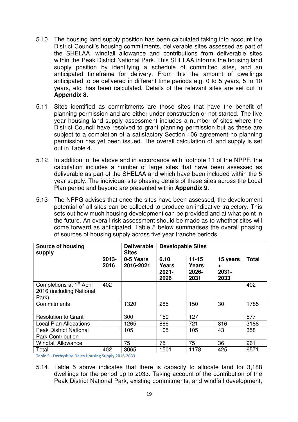- 5.10 The housing land supply position has been calculated taking into account the District Council's housing commitments, deliverable sites assessed as part of the SHELAA, windfall allowance and contributions from deliverable sites within the Peak District National Park. This SHELAA informs the housing land supply position by identifying a schedule of committed sites, and an anticipated timeframe for delivery. From this the amount of dwellings anticipated to be delivered in different time periods e.g. 0 to 5 years, 5 to 10 years, etc. has been calculated. Details of the relevant sites are set out in **Appendix 8.**
- 5.11 Sites identified as commitments are those sites that have the benefit of planning permission and are either under construction or not started. The five year housing land supply assessment includes a number of sites where the District Council have resolved to grant planning permission but as these are subject to a completion of a satisfactory Section 106 agreement no planning permission has yet been issued. The overall calculation of land supply is set out in Table 4.
- 5.12 In addition to the above and in accordance with footnote 11 of the NPPF, the calculation includes a number of large sites that have been assessed as deliverable as part of the SHELAA and which have been included within the 5 year supply. The individual site phasing details of these sites across the Local Plan period and beyond are presented within **Appendix 9.**
- 5.13 The NPPG advises that once the sites have been assessed, the development potential of all sites can be collected to produce an indicative trajectory. This sets out how much housing development can be provided and at what point in the future. An overall risk assessment should be made as to whether sites will come forward as anticipated. Table 5 below summarises the overall phasing of sources of housing supply across five year tranche periods.

| Source of housing<br>supply                                               |                  | <b>Deliverable</b><br><b>Sites</b> | <b>Developable Sites</b>                 |                                            |                                   |              |
|---------------------------------------------------------------------------|------------------|------------------------------------|------------------------------------------|--------------------------------------------|-----------------------------------|--------------|
|                                                                           | $2013 -$<br>2016 | 0-5 Years<br>2016-2021             | 6.10<br><b>Years</b><br>$2021 -$<br>2026 | $11 - 15$<br><b>Years</b><br>2026-<br>2031 | 15 years<br>÷<br>$2031 -$<br>2033 | <b>Total</b> |
| Completions at 1 <sup>st</sup> April<br>2016 (including National<br>Park) | 402              |                                    |                                          |                                            |                                   | 402          |
| Commitments                                                               |                  | 1320                               | 285                                      | 150                                        | 30                                | 1785         |
| <b>Resolution to Grant</b>                                                |                  | 300                                | 150                                      | 127                                        |                                   | 577          |
| <b>Local Plan Allocations</b>                                             |                  | 1265                               | 886                                      | 721                                        | 316                               | 3188         |
| <b>Peak District National</b><br><b>Park Contribution</b>                 |                  | 105                                | 105                                      | 105                                        | 43                                | 358          |
| <b>Windfall Allowance</b>                                                 |                  | 75                                 | 75                                       | 75                                         | 36                                | 261          |
| Total                                                                     | 402              | 3065                               | 1501                                     | 1178                                       | 425                               | 6571         |

Table 5 - Derbyshire Dales Housing Supply 2016-2033

5.14 Table 5 above indicates that there is capacity to allocate land for 3,188 dwellings for the period up to 2033. Taking account of the contribution of the Peak District National Park, existing commitments, and windfall development,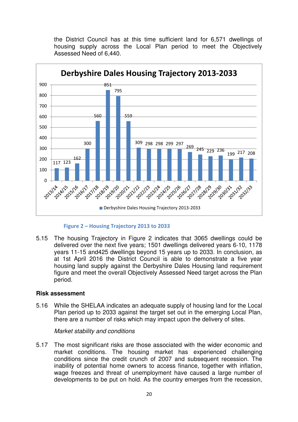the District Council has at this time sufficient land for 6,571 dwellings of housing supply across the Local Plan period to meet the Objectively Assessed Need of 6,440.



#### Figure 2 – Housing Trajectory 2013 to 2033

5.15 The housing Trajectory in Figure 2 indicates that 3065 dwellings could be delivered over the next five years; 1501 dwellings delivered years 6-10, 1178 years 11-15 and425 dwellings beyond 15 years up to 2033. In conclusion, as at 1st April 2016 the District Council is able to demonstrate a five year housing land supply against the Derbyshire Dales Housing land requirement figure and meet the overall Objectively Assessed Need target across the Plan period.

#### **Risk assessment**

5.16 While the SHELAA indicates an adequate supply of housing land for the Local Plan period up to 2033 against the target set out in the emerging Local Plan, there are a number of risks which may impact upon the delivery of sites.

#### Market stability and conditions

5.17 The most significant risks are those associated with the wider economic and market conditions. The housing market has experienced challenging conditions since the credit crunch of 2007 and subsequent recession. The inability of potential home owners to access finance, together with inflation, wage freezes and threat of unemployment have caused a large number of developments to be put on hold. As the country emerges from the recession,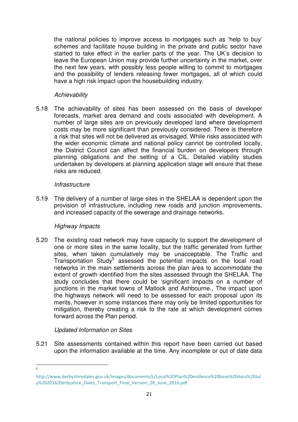the national policies to improve access to mortgages such as 'help to buy' schemes and facilitate house building in the private and public sector have started to take effect in the earlier parts of the year. The UK's decision to leave the European Union may provide further uncertainty in the market, over the next few years, with possibly less people willing to commit to mortgages and the possibility of lenders releasing fewer mortgages, all of which could have a high risk impact upon the housebuilding industry.

# **Achievability**

5.18 The achievability of sites has been assessed on the basis of developer forecasts, market area demand and costs associated with development. A number of large sites are on previously developed land where development costs may be more significant than previously considered. There is therefore a risk that sites will not be delivered as envisaged. While risks associated with the wider economic climate and national policy cannot be controlled locally, the District Council can affect the financial burden on developers through planning obligations and the setting of a CIL. Detailed viability studies undertaken by developers at planning application stage will ensure that these risks are reduced.

# **Infrastructure**

5.19 The delivery of a number of large sites in the SHELAA is dependent upon the provision of infrastructure, including new roads and junction improvements, and increased capacity of the sewerage and drainage networks.

# Highway Impacts

5.20 The existing road network may have capacity to support the development of one or more sites in the same locality, but the traffic generated from further sites, when taken cumulatively may be unacceptable. The Traffic and Transportation Study<sup>5</sup> assessed the potential impacts on the local road networks in the main settlements across the plan area to accommodate the extent of growth identified from the sites assessed through the SHELAA. The study concludes that there could be 'significant impacts on a number of junctions in the market towns of Matlock and Ashbourne., The impact upon the highways network will need to be assessed for each proposal upon its merits, however in some instances there may only be limited opportunities for mitigation, thereby creating a risk to the rate at which development comes forward across the Plan period.

# Updated Information on Sites

5.21 Site assessments contained within this report have been carried out based upon the information available at the time. Any incomplete or out of date data

<sup>-&</sup>lt;br>5

http://www.derbyshiredales.gov.uk/images/documents/L/Local%20Plan%20evidence%20base%20docs%20Jul y%202016/Derbyshire\_Dales\_Transport\_Final\_Version\_28\_June\_2016.pdf